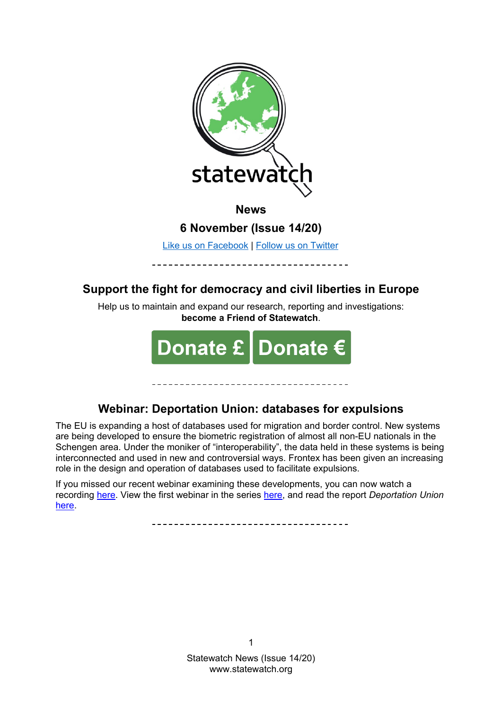

**News**

**6 November (Issue 14/20)**

[Like us on Facebook](https://www.facebook.com/statewatcheu/) | [Follow us on Twitter](https://twitter.com/statewatcheu)

# **Support the fight for democracy and civil liberties in Europe**

Help us to maintain and expand our research, reporting and investigations: **become a Friend of Statewatch**.



# **Webinar: Deportation Union: databases for expulsions**

The EU is expanding a host of databases used for migration and border control. New systems are being developed to ensure the biometric registration of almost all non-EU nationals in the Schengen area. Under the moniker of "interoperability", the data held in these systems is being interconnected and used in new and controversial ways. Frontex has been given an increasing role in the design and operation of databases used to facilitate expulsions.

If you missed our recent webinar examining these developments, you can now watch a recording [here.](https://www.statewatch.org/publications/events/deportation-union-databases-for-expulsions/) View the first webinar in the series [here,](https://www.statewatch.org/publications/events/deportation-union-revamped-return-policies-and-reckless-forced-removals/) and read the report *Deportation Union*  [here.](https://www.statewatch.org/deportation-union-rights-accountability-and-the-eu-s-push-to-increase-forced-removals/)

-----------------------------------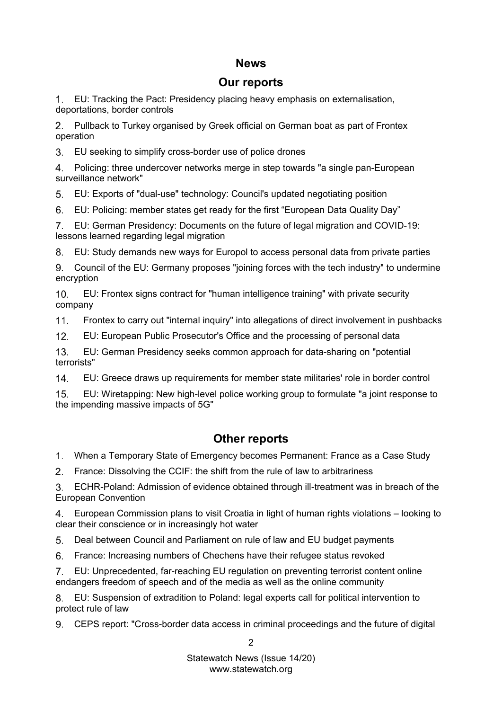# **News**

# **Our reports**

[EU: Tracking the Pact: Presidency placing heavy emphasis on externalisation,](#page-4-0)  [deportations, border controls](#page-4-0)

[Pullback to Turkey organised by Greek official on German boat as part of Frontex](#page-4-1)  [operation](#page-4-1)

[EU seeking to simplify cross-border use of police drones](#page-4-2)

 $4_{-}$ [Policing: three undercover networks merge in step towards "a single pan-European](#page-4-3)  [surveillance network"](#page-4-3)

[EU: Exports of "dual-use" technology: Council's updated negotiating position](#page-4-4)

[EU: Policing: member states get ready for the first "European Data Quality Day"](#page-4-5) 6.

[EU: German Presidency: Documents on the future of legal migration and COVID-19:](#page-4-6)  [lessons learned regarding legal migration](#page-4-6)

8. [EU: Study demands new ways for Europol to access personal data from private parties](#page-5-0)

[Council of the EU: Germany proposes "joining forces with the tech industry" to undermine](#page-5-1)  [encryption](#page-5-1)

[EU: Frontex signs contract for "human intelligence training" with private security](#page-5-2)   $10<sub>1</sub>$ [company](#page-5-2)

 $11.$ [Frontex to carry out "internal inquiry" into allegations of direct involvement in pushbacks](#page-5-3)

 $12.$ [EU: European Public Prosecutor's Office and the processing of personal data](#page-5-4)

 $13.$ [EU: German Presidency seeks common approach for data-sharing on "potential](#page-5-5)  [terrorists"](#page-5-5)

 $14.$ [EU: Greece draws up requirements for member state militaries' role in border control](#page-5-6)

 $15<sub>1</sub>$ [EU: Wiretapping: New high-level police working group to formulate "a joint response to](#page-6-0)  [the impending massive impacts of 5G"](#page-6-0)

# **Other reports**

[When a Temporary State of Emergency becomes Permanent: France as a Case Study](#page-6-1)

[France: Dissolving the CCIF: the shift from](#page-6-2) the rule of law to arbitrariness

[ECHR-Poland: Admission of evidence obtained through ill-treatment was in breach of the](#page-6-3)  [European Convention](#page-6-3)

[European Commission plans to visit Croatia in](#page-6-4) light of human rights violations – looking to [clear their conscience or in increasingly hot water](#page-6-4)

[Deal between Council and Parliament on rule of law and EU budget payments](#page-6-5)  $5<sub>1</sub>$ 

[France: Increasing numbers of Chechens have their refugee status revoked](#page-6-6) 6.

[EU: Unprecedented, far-reaching EU regulation on preventing terrorist content online](#page-7-0)  [endangers freedom of speech and of the media as well as the online community](#page-7-0)

[EU: Suspension of extradition to Poland: legal experts call for political intervention to](#page-7-1)  [protect rule of law](#page-7-1)

[CEPS report: "Cross-border data access in criminal proceedings and the future of digital](#page-7-2) 

 $\mathfrak{p}$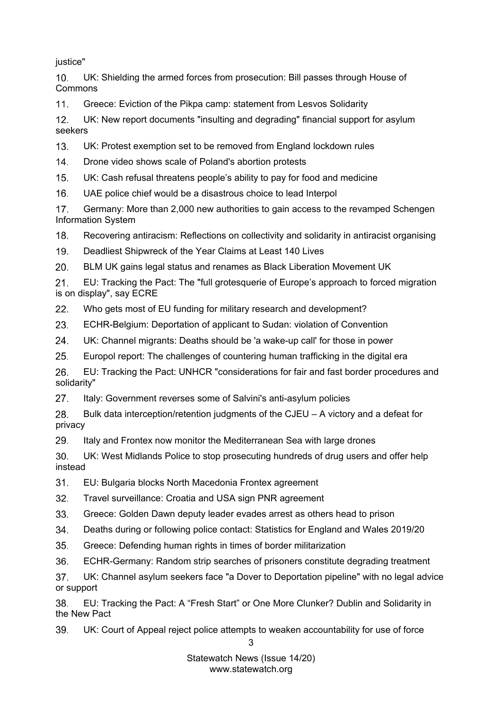[justice"](#page-7-2)

 $10.$ [UK: Shielding the armed forces from prosecution: Bill passes through House of](#page-7-3)  [Commons](#page-7-3)

 $11<sub>1</sub>$ [Greece: Eviction of the Pikpa camp: statement from Lesvos Solidarity](#page-7-4)

 $12<sup>1</sup>$ [UK: New report documents "insulting and degrading" financial support for asylum](#page-7-5)  [seekers](#page-7-5)

 $13<sub>1</sub>$ [UK: Protest exemption set to be removed from England lockdown rules](#page-8-0)

 $14.$ [Drone video shows scale of Poland's abortion protests](#page-8-1)

 $15.$ [UK: Cash refusal threatens people's ability to pay for food and medicine](#page-8-2)

 $16.$ [UAE police chief would be a disastrous choice to lead Interpol](#page-8-3)

 $17<sub>1</sub>$ [Germany: More than 2,000 new authorities to gain access to the revamped Schengen](#page-8-4)  [Information System](#page-8-4)

 $18.$ [Recovering antiracism: Reflections on collectivity and solidarity in antiracist organising](#page-8-5)

 $19<sub>1</sub>$ [Deadliest Shipwreck of the Year Claims at Least 140 Lives](#page-8-6)

 $20<sub>1</sub>$ [BLM UK gains legal status and renames as Black Liberation Movement UK](#page-9-0)

 $21.$ [EU: Tracking the Pact: The "full grotesquerie of Europe's approach to forced migration](#page-9-1)  [is on display", say ECRE](#page-9-1)

 $22.$ [Who gets most of EU funding for military research and development?](#page-9-2)

23. [ECHR-Belgium: Deportation of applicant to Sudan: violation of Convention](#page-9-3)

24. [UK: Channel migrants: Deaths should be 'a wake-up call' for those in power](#page-9-4)

 $25.$ [Europol report: The challenges of countering human trafficking in the digital era](#page-9-5)

[EU: Tracking the Pact: UNHCR "considerations for fair and fast border procedures and](#page-9-6)  26. [solidarity"](#page-9-6)

[Italy: Government reverses some of Salvini's anti-asylum policies](#page-9-7) 27.

28. [Bulk data interception/retention judgments of the CJEU –](#page-10-0) A victory and a defeat for [privacy](#page-10-0)

29. [Italy and Frontex now monitor the Mediterranean Sea with large drones](#page-10-1)

 $30.$ [UK: West Midlands Police to stop prosecuting hundreds of drug users and offer help](#page-10-2)  [instead](#page-10-2)

 $31.$ EU: Bulgaria blocks [North Macedonia Frontex agreement](#page-10-3)

 $32.$ [Travel surveillance: Croatia and USA sign PNR agreement](#page-10-4)

 $33<sub>o</sub>$ [Greece: Golden Dawn deputy leader evades arrest as others head to prison](#page-10-5)

34. [Deaths during or following police contact: Statistics for England and Wales 2019/20](#page-10-6)

 $35.$ [Greece: Defending human rights in times of border militarization](#page-11-0)

36. [ECHR-Germany: Random strip searches of prisoners constitute degrading treatment](#page-11-1)

37. [UK: Channel asylum seekers face "a Dover to Deportation pipeline" with no legal advice](#page-11-2)  [or support](#page-11-2)

[EU: Tracking the Pact: A "Fresh Start" or One More Clunker? Dublin and Solidarity in](#page-11-3)  38. [the New Pact](#page-11-3)

39. [UK: Court of Appeal reject police attempts to weaken accountability for use of force](#page-11-4)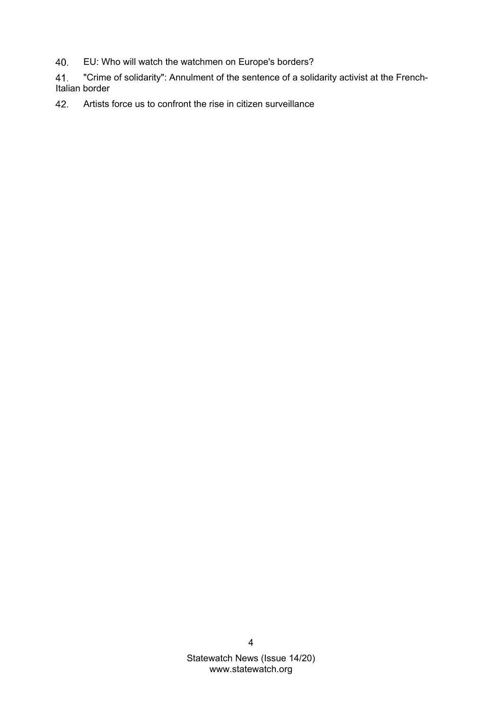- [EU: Who will watch the watchmen on Europe's borders?](#page-11-5) 40.
- 41. ["Crime of solidarity": Annulment of the sentence of a solidarity activist at the French-](#page-11-6)[Italian border](#page-11-6)
- 42. [Artists force us to confront the rise in citizen surveillance](#page-11-7)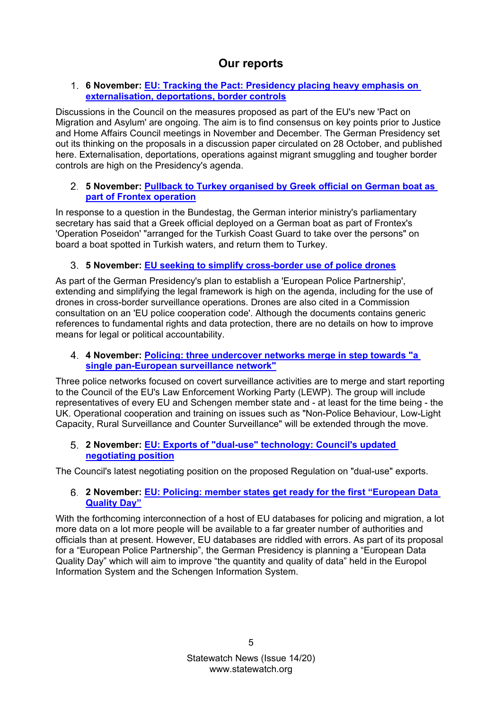# **Our reports**

# <span id="page-4-0"></span>**6 November: [EU: Tracking the Pact: Presidency placing heavy emphasis on](https://www.statewatch.org/news/2020/november/eu-tracking-the-pact-presidency-placing-heavy-emphasis-on-externalisation-deportations-border-controls/)  [externalisation, deportations, border controls](https://www.statewatch.org/news/2020/november/eu-tracking-the-pact-presidency-placing-heavy-emphasis-on-externalisation-deportations-border-controls/)**

Discussions in the Council on the measures proposed as part of the EU's new 'Pact on Migration and Asylum' are ongoing. The aim is to find consensus on key points prior to Justice and Home Affairs Council meetings in November and December. The German Presidency set out its thinking on the proposals in a discussion paper circulated on 28 October, and published here. Externalisation, deportations, operations against migrant smuggling and tougher border controls are high on the Presidency's agenda.

# <span id="page-4-1"></span>**5 November: [Pullback to Turkey organised by Greek official on German boat as](https://www.statewatch.org/news/2020/november/pullback-to-turkey-organised-by-greek-official-on-german-boat-as-part-of-frontex-operation/)  [part of Frontex operation](https://www.statewatch.org/news/2020/november/pullback-to-turkey-organised-by-greek-official-on-german-boat-as-part-of-frontex-operation/)**

In response to a question in the Bundestag, the German interior ministry's parliamentary secretary has said that a Greek official deployed on a German boat as part of Frontex's 'Operation Poseidon' "arranged for the Turkish Coast Guard to take over the persons" on board a boat spotted in Turkish waters, and return them to Turkey.

# <span id="page-4-2"></span>**5 November: [EU seeking to simplify cross-border use of](https://www.statewatch.org/news/2020/november/eu-seeking-to-simplify-cross-border-use-of-police-drones/) police drones**

As part of the German Presidency's plan to establish a 'European Police Partnership', extending and simplifying the legal framework is high on the agenda, including for the use of drones in cross-border surveillance operations. Drones are also cited in a Commission consultation on an 'EU police cooperation code'. Although the documents contains generic references to fundamental rights and data protection, there are no details on how to improve means for legal or political accountability.

# <span id="page-4-3"></span>**4 November: [Policing: three undercover networks merge in step towards "a](https://www.statewatch.org/news/2020/november/policing-three-undercover-networks-merge-in-step-towards-a-single-pan-european-surveillance-network/)  [single pan-European surveillance network"](https://www.statewatch.org/news/2020/november/policing-three-undercover-networks-merge-in-step-towards-a-single-pan-european-surveillance-network/)**

Three police networks focused on covert surveillance activities are to merge and start reporting to the Council of the EU's Law Enforcement Working Party (LEWP). The group will include representatives of every EU and Schengen member state and - at least for the time being - the UK. Operational cooperation and training on issues such as "Non-Police Behaviour, Low-Light Capacity, Rural Surveillance and Counter Surveillance" will be extended through the move.

# <span id="page-4-4"></span>**2 November: [EU: Exports of "dual-use" technology: Council's updated](https://www.statewatch.org/news/2020/november/eu-exports-of-dual-use-technology-council-s-updated-negotiating-position/)  [negotiating position](https://www.statewatch.org/news/2020/november/eu-exports-of-dual-use-technology-council-s-updated-negotiating-position/)**

<span id="page-4-5"></span>The Council's latest negotiating position on the proposed Regulation on "dual-use" exports.

# **2 November: [EU: Policing: member states get ready for the first "European Data](https://www.statewatch.org/news/2020/november/eu-policing-member-states-get-ready-for-the-first-european-data-quality-day/)  [Quality Day"](https://www.statewatch.org/news/2020/november/eu-policing-member-states-get-ready-for-the-first-european-data-quality-day/)**

<span id="page-4-6"></span>With the forthcoming interconnection of a host of EU databases for policing and migration, a lot more data on a lot more people will be available to a far greater number of authorities and officials than at present. However, EU databases are riddled with errors. As part of its proposal for a "European Police Partnership", the German Presidency is planning a "European Data Quality Day" which will aim to improve "the quantity and quality of data" held in the Europol Information System and the Schengen Information System.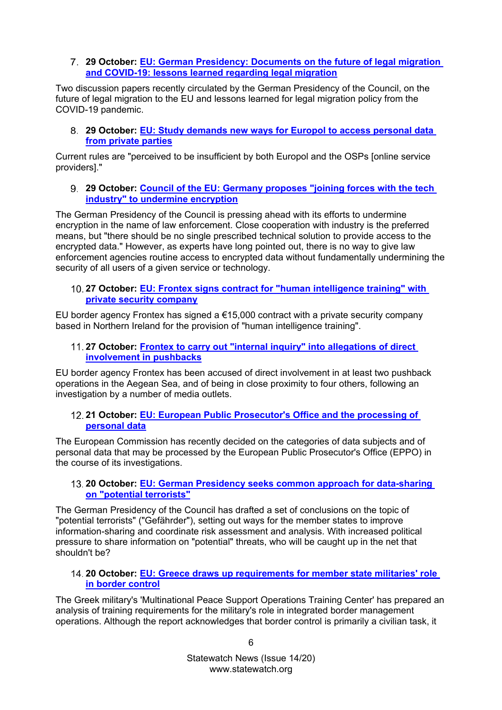### **29 October: [EU: German Presidency: Documents on the future of legal migration](https://www.statewatch.org/news/2020/october/eu-german-presidency-documents-on-the-future-of-legal-migration-and-covid-19-lessons-learned-regarding-legal-migration/)  [and COVID-19: lessons learned regarding legal migration](https://www.statewatch.org/news/2020/october/eu-german-presidency-documents-on-the-future-of-legal-migration-and-covid-19-lessons-learned-regarding-legal-migration/)**

Two discussion papers recently circulated by the German Presidency of the Council, on the future of legal migration to the EU and lessons learned for legal migration policy from the COVID-19 pandemic.

<span id="page-5-0"></span>**29 October: [EU: Study demands new ways for Europol to access personal data](https://www.statewatch.org/news/2020/october/eu-study-demands-new-ways-for-europol-to-access-personal-data-from-private-parties/)  [from private parties](https://www.statewatch.org/news/2020/october/eu-study-demands-new-ways-for-europol-to-access-personal-data-from-private-parties/)**

Current rules are "perceived to be insufficient by both Europol and the OSPs [online service providers]."

<span id="page-5-1"></span>**29 October: [Council of the EU: Germany proposes "joining forces with the tech](https://www.statewatch.org/news/2020/october/council-of-the-eu-germany-proposes-joining-forces-with-the-tech-industry-to-undermine-encryption/)  [industry" to undermine encryption](https://www.statewatch.org/news/2020/october/council-of-the-eu-germany-proposes-joining-forces-with-the-tech-industry-to-undermine-encryption/)**

The German Presidency of the Council is pressing ahead with its efforts to undermine encryption in the name of law enforcement. Close cooperation with industry is the preferred means, but "there should be no single prescribed technical solution to provide access to the encrypted data." However, as experts have long pointed out, there is no way to give law enforcement agencies routine access to encrypted data without fundamentally undermining the security of all users of a given service or technology.

# <span id="page-5-2"></span>**27 October: [EU: Frontex signs contract for "human intelligence training" with](https://www.statewatch.org/news/2020/october/eu-frontex-signs-contract-for-human-intelligence-training-with-private-security-company/)  [private security company](https://www.statewatch.org/news/2020/october/eu-frontex-signs-contract-for-human-intelligence-training-with-private-security-company/)**

EU border agency Frontex has signed a  $€15,000$  contract with a private security company based in Northern Ireland for the provision of "human intelligence training".

<span id="page-5-3"></span>**27 October: [Frontex to carry out "internal inquiry" into allegations of direct](https://www.statewatch.org/news/2020/october/frontex-to-carry-out-internal-inquiry-into-allegations-of-direct-involvement-in-pushbacks/)  [involvement in pushbacks](https://www.statewatch.org/news/2020/october/frontex-to-carry-out-internal-inquiry-into-allegations-of-direct-involvement-in-pushbacks/)**

EU border agency Frontex has been accused of direct involvement in at least two pushback operations in the Aegean Sea, and of being in close proximity to four others, following an investigation by a number of media outlets.

<span id="page-5-4"></span>**21 October: [EU: European Public Prosecutor's Office and the processing of](https://www.statewatch.org/news/2020/october/eu-european-public-prosecutor-s-office-and-the-processing-of-personal-data/)  [personal data](https://www.statewatch.org/news/2020/october/eu-european-public-prosecutor-s-office-and-the-processing-of-personal-data/)**

The European Commission has recently decided on the categories of data subjects and of personal data that may be processed by the European Public Prosecutor's Office (EPPO) in the course of its investigations.

### <span id="page-5-5"></span>**20 October: [EU: German Presidency seeks common approach for data-sharing](https://www.statewatch.org/news/2020/october/eu-german-presidency-seeks-common-approach-for-data-sharing-on-potential-terrorists/)  [on "potential terrorists"](https://www.statewatch.org/news/2020/october/eu-german-presidency-seeks-common-approach-for-data-sharing-on-potential-terrorists/)**

The German Presidency of the Council has drafted a set of conclusions on the topic of "potential terrorists" ("Gefährder"), setting out ways for the member states to improve information-sharing and coordinate risk assessment and analysis. With increased political pressure to share information on "potential" threats, who will be caught up in the net that shouldn't be?

### <span id="page-5-6"></span>**20 October: [EU: Greece draws up requirements for member state militaries' role](https://www.statewatch.org/news/2020/october/eu-greece-draws-up-requirements-for-member-state-militaries-role-in-border-control/)  [in border](https://www.statewatch.org/news/2020/october/eu-greece-draws-up-requirements-for-member-state-militaries-role-in-border-control/) control**

The Greek military's 'Multinational Peace Support Operations Training Center' has prepared an analysis of training requirements for the military's role in integrated border management operations. Although the report acknowledges that border control is primarily a civilian task, it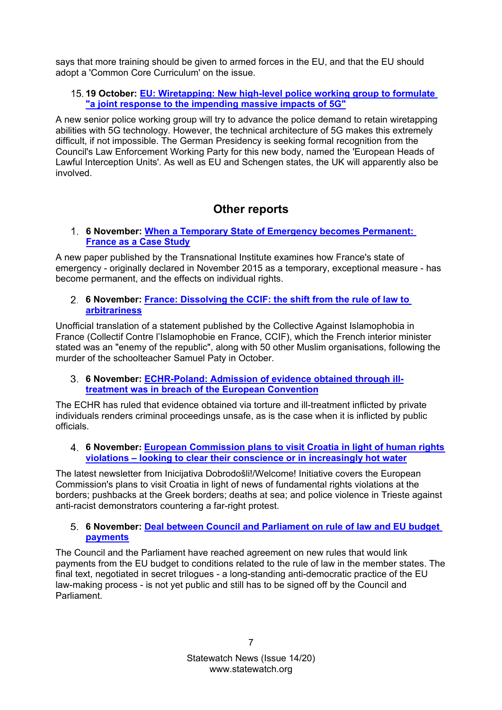says that more training should be given to armed forces in the EU, and that the EU should adopt a 'Common Core Curriculum' on the issue.

## <span id="page-6-0"></span>**19 October: [EU: Wiretapping: New high-level police working group to formulate](https://www.statewatch.org/news/2020/october/eu-wiretapping-new-high-level-police-working-group-to-formulate-a-joint-response-to-the-impending-massive-impacts-of-5g/)  ["a joint response to the impending massive impacts of 5G"](https://www.statewatch.org/news/2020/october/eu-wiretapping-new-high-level-police-working-group-to-formulate-a-joint-response-to-the-impending-massive-impacts-of-5g/)**

A new senior police working group will try to advance the police demand to retain wiretapping abilities with 5G technology. However, the technical architecture of 5G makes this extremely difficult, if not impossible. The German Presidency is seeking formal recognition from the Council's Law Enforcement Working Party for this new body, named the 'European Heads of Lawful Interception Units'. As well as EU and Schengen states, the UK will apparently also be involved.

# **Other reports**

<span id="page-6-1"></span>**6 November: [When a Temporary State of Emergency becomes Permanent:](https://www.statewatch.org/news/2020/november/when-a-temporary-state-of-emergency-becomes-permanent-france-as-a-case-study/)  [France as a Case Study](https://www.statewatch.org/news/2020/november/when-a-temporary-state-of-emergency-becomes-permanent-france-as-a-case-study/)**

A new paper published by the Transnational Institute examines how France's state of emergency - originally declared in November 2015 as a temporary, exceptional measure - has become permanent, and the effects on individual rights.

# <span id="page-6-2"></span>**6 November: [France: Dissolving the CCIF: the shift from the rule of law to](https://www.statewatch.org/news/2020/november/france-dissolving-the-ccif-the-shift-from-the-rule-of-law-to-arbitrariness/)  [arbitrariness](https://www.statewatch.org/news/2020/november/france-dissolving-the-ccif-the-shift-from-the-rule-of-law-to-arbitrariness/)**

Unofficial translation of a statement published by the Collective Against Islamophobia in France (Collectif Contre l'Islamophobie en France, CCIF), which the French interior minister stated was an "enemy of the republic", along with 50 other Muslim organisations, following the murder of the schoolteacher Samuel Paty in October.

# <span id="page-6-3"></span>**6 November: [ECHR-Poland: Admission of evidence obtained through ill](https://www.statewatch.org/news/2020/november/echr-poland-admission-of-evidence-obtained-through-ill-treatment-was-in-breach-of-the-european-convention/)[treatment was in breach of the European Convention](https://www.statewatch.org/news/2020/november/echr-poland-admission-of-evidence-obtained-through-ill-treatment-was-in-breach-of-the-european-convention/)**

The ECHR has ruled that evidence obtained via torture and ill-treatment inflicted by private individuals renders criminal proceedings unsafe, as is the case when it is inflicted by public officials.

### <span id="page-6-4"></span>**6 November: [European Commission plans to visit Croatia in light of human rights](https://www.statewatch.org/news/2020/november/european-commission-plans-to-visit-croatia-in-light-of-human-rights-violations-looking-to-clear-their-conscience-or-in-increasingly-hot-water/)  violations – [looking to clear their conscience or in increasingly hot water](https://www.statewatch.org/news/2020/november/european-commission-plans-to-visit-croatia-in-light-of-human-rights-violations-looking-to-clear-their-conscience-or-in-increasingly-hot-water/)**

The latest newsletter from Inicijativa Dobrodošli!/Welcome! Initiative covers the European Commission's plans to visit Croatia in light of news of fundamental rights violations at the borders; pushbacks at the Greek borders; deaths at sea; and police violence in Trieste against anti-racist demonstrators countering a far-right protest.

# <span id="page-6-5"></span>**6 November: [Deal between Council and Parliament on rule of law and EU budget](https://www.statewatch.org/news/2020/november/deal-between-council-and-parliament-on-rule-of-law-and-eu-budget-payments/)  [payments](https://www.statewatch.org/news/2020/november/deal-between-council-and-parliament-on-rule-of-law-and-eu-budget-payments/)**

<span id="page-6-6"></span>The Council and the Parliament have reached agreement on new rules that would link payments from the EU budget to conditions related to the rule of law in the member states. The final text, negotiated in secret trilogues - a long-standing anti-democratic practice of the EU law-making process - is not yet public and still has to be signed off by the Council and Parliament.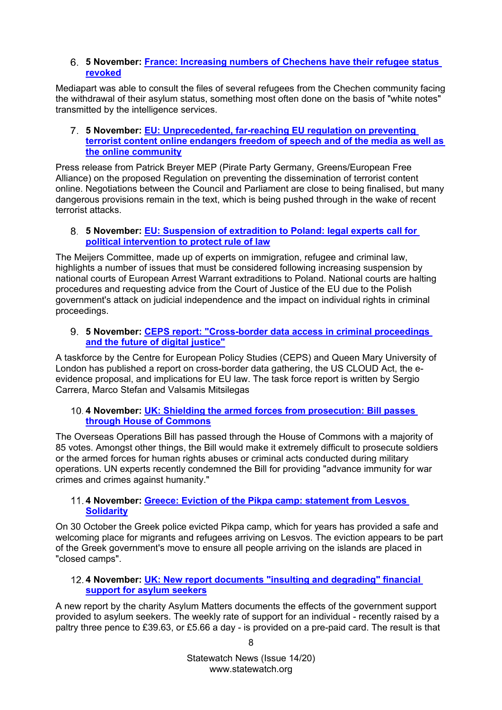## **5 November: [France: Increasing numbers of Chechens have their refugee status](https://www.statewatch.org/news/2020/november/france-increasing-numbers-of-chechens-have-their-refugee-status-revoked/)  [revoked](https://www.statewatch.org/news/2020/november/france-increasing-numbers-of-chechens-have-their-refugee-status-revoked/)**

Mediapart was able to consult the files of several refugees from the Chechen community facing the withdrawal of their asylum status, something most often done on the basis of "white notes" transmitted by the intelligence services.

#### <span id="page-7-0"></span>**5 November: [EU: Unprecedented, far-reaching EU regulation on preventing](https://www.statewatch.org/news/2020/november/eu-unprecedented-far-reaching-eu-regulation-on-preventing-terrorist-content-online-endangers-freedom-of-speech-and-of-the-media-as-well-as-the-online-community/)  [terrorist content online endangers freedom of](https://www.statewatch.org/news/2020/november/eu-unprecedented-far-reaching-eu-regulation-on-preventing-terrorist-content-online-endangers-freedom-of-speech-and-of-the-media-as-well-as-the-online-community/) speech and of the media as well as [the online community](https://www.statewatch.org/news/2020/november/eu-unprecedented-far-reaching-eu-regulation-on-preventing-terrorist-content-online-endangers-freedom-of-speech-and-of-the-media-as-well-as-the-online-community/)**

Press release from Patrick Breyer MEP (Pirate Party Germany, Greens/European Free Alliance) on the proposed Regulation on preventing the dissemination of terrorist content online. Negotiations between the Council and Parliament are close to being finalised, but many dangerous provisions remain in the text, which is being pushed through in the wake of recent terrorist attacks.

### <span id="page-7-1"></span>**5 November: [EU: Suspension of extradition to Poland: legal experts call for](https://www.statewatch.org/news/2020/november/eu-suspension-of-extradition-to-poland-legal-experts-call-for-political-intervention-to-protect-rule-of-law/)  [political intervention to protect rule of law](https://www.statewatch.org/news/2020/november/eu-suspension-of-extradition-to-poland-legal-experts-call-for-political-intervention-to-protect-rule-of-law/)**

The Meijers Committee, made up of experts on immigration, refugee and criminal law, highlights a number of issues that must be considered following increasing suspension by national courts of European Arrest Warrant extraditions to Poland. National courts are halting procedures and requesting advice from the Court of Justice of the EU due to the Polish government's attack on judicial independence and the impact on individual rights in criminal proceedings.

# <span id="page-7-2"></span>**5 November: [CEPS report: "Cross-border data access in criminal proceedings](https://www.statewatch.org/news/2020/november/ceps-report-cross-border-data-access-in-criminal-proceedings-and-the-future-of-digital-justice/)  [and the future of digital justice"](https://www.statewatch.org/news/2020/november/ceps-report-cross-border-data-access-in-criminal-proceedings-and-the-future-of-digital-justice/)**

A taskforce by the Centre for European Policy Studies (CEPS) and Queen Mary University of London has published a report on cross-border data gathering, the US CLOUD Act, the eevidence proposal, and implications for EU law. The task force report is written by Sergio Carrera, Marco Stefan and Valsamis Mitsilegas

### <span id="page-7-3"></span>**4 November: [UK: Shielding the armed forces from prosecution: Bill passes](https://www.statewatch.org/news/2020/november/uk-shielding-the-armed-forces-from-prosecution-bill-passes-through-house-of-commons/)  [through House of Commons](https://www.statewatch.org/news/2020/november/uk-shielding-the-armed-forces-from-prosecution-bill-passes-through-house-of-commons/)**

The Overseas Operations Bill has passed through the House of Commons with a majority of 85 votes. Amongst other things, the Bill would make it extremely difficult to prosecute soldiers or the armed forces for human rights abuses or criminal acts conducted during military operations. UN experts recently condemned the Bill for providing "advance immunity for war crimes and crimes against humanity."

# <span id="page-7-4"></span>**4 November: [Greece: Eviction of the Pikpa camp: statement from Lesvos](https://www.statewatch.org/news/2020/november/greece-eviction-of-the-pikpa-camp-statement-from-lesvos-solidarity/)  [Solidarity](https://www.statewatch.org/news/2020/november/greece-eviction-of-the-pikpa-camp-statement-from-lesvos-solidarity/)**

On 30 October the Greek police evicted Pikpa camp, which for years has provided a safe and welcoming place for migrants and refugees arriving on Lesvos. The eviction appears to be part of the Greek government's move to ensure all people arriving on the islands are placed in "closed camps".

# <span id="page-7-5"></span>**4 November: [UK: New report documents "insulting and degrading" financial](https://www.statewatch.org/news/2020/november/uk-new-report-documents-insulting-and-degrading-financial-support-for-asylum-seekers/)  [support for asylum seekers](https://www.statewatch.org/news/2020/november/uk-new-report-documents-insulting-and-degrading-financial-support-for-asylum-seekers/)**

A new report by the charity Asylum Matters documents the effects of the government support provided to asylum seekers. The weekly rate of support for an individual - recently raised by a paltry three pence to £39.63, or £5.66 a day - is provided on a pre-paid card. The result is that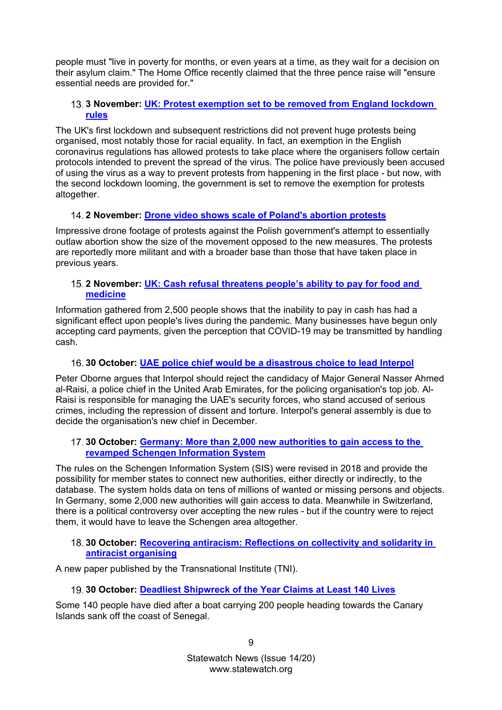people must "live in poverty for months, or even years at a time, as they wait for a decision on their asylum claim." The Home Office recently claimed that the three pence raise will "ensure essential needs are provided for."

# <span id="page-8-0"></span>**3 November: [UK: Protest exemption set to be removed from England lockdown](https://www.statewatch.org/news/2020/november/uk-protest-exemption-set-to-be-removed-from-england-lockdown-rules/)  [rules](https://www.statewatch.org/news/2020/november/uk-protest-exemption-set-to-be-removed-from-england-lockdown-rules/)**

The UK's first lockdown and subsequent restrictions did not prevent huge protests being organised, most notably those for racial equality. In fact, an exemption in the English coronavirus regulations has allowed protests to take place where the organisers follow certain protocols intended to prevent the spread of the virus. The police have previously been accused of using the virus as a way to prevent protests from happening in the first place - but now, with the second lockdown looming, the government is set to remove the exemption for protests altogether.

# <span id="page-8-1"></span>**2 November: [Drone video shows scale of Poland's abortion protests](https://www.statewatch.org/news/2020/november/drone-video-shows-scale-of-poland-s-abortion-protests/)**

Impressive drone footage of protests against the Polish government's attempt to essentially outlaw abortion show the size of the movement opposed to the new measures. The protests are reportedly more militant and with a broader base than those that have taken place in previous years.

# <span id="page-8-2"></span>**2 November: [UK: Cash refusal threatens people's ability to pay for food and](https://www.statewatch.org/news/2020/november/uk-cash-refusal-threatens-people-s-ability-to-pay-for-food-and-medicine/)  [medicine](https://www.statewatch.org/news/2020/november/uk-cash-refusal-threatens-people-s-ability-to-pay-for-food-and-medicine/)**

Information gathered from 2,500 people shows that the inability to pay in cash has had a significant effect upon people's lives during the pandemic. Many businesses have begun only accepting card payments, given the perception that COVID-19 may be transmitted by handling cash.

# <span id="page-8-3"></span>**30 October: [UAE police chief would be a disastrous choice to lead Interpol](https://www.statewatch.org/news/2020/october/uae-police-chief-would-be-a-disastrous-choice-to-lead-interpol/)**

Peter Oborne argues that Interpol should reject the candidacy of Major General Nasser Ahmed al-Raisi, a police chief in the United Arab Emirates, for the policing organisation's top job. Al-Raisi is responsible for managing the UAE's security forces, who stand accused of serious crimes, including the repression of dissent and torture. Interpol's general assembly is due to decide the organisation's new chief in December.

### <span id="page-8-4"></span>**30 October: [Germany: More than 2,000 new authorities to gain access to the](https://www.statewatch.org/news/2020/october/germany-more-than-2-000-new-authorities-to-gain-access-to-the-revamped-schengen-information-system/)  [revamped Schengen Information System](https://www.statewatch.org/news/2020/october/germany-more-than-2-000-new-authorities-to-gain-access-to-the-revamped-schengen-information-system/)**

The rules on the Schengen Information System (SIS) were revised in 2018 and provide the possibility for member states to connect new authorities, either directly or indirectly, to the database. The system holds data on tens of millions of wanted or missing persons and objects. In Germany, some 2,000 new authorities will gain access to data. Meanwhile in Switzerland, there is a political controversy over accepting the new rules - but if the country were to reject them, it would have to leave the Schengen area altogether.

### <span id="page-8-5"></span>**30 October: [Recovering antiracism: Reflections on collectivity and solidarity in](https://www.statewatch.org/news/2020/october/recovering-antiracism-reflections-on-collectivity-and-solidarity-in-antiracist-organising/)  [antiracist organising](https://www.statewatch.org/news/2020/october/recovering-antiracism-reflections-on-collectivity-and-solidarity-in-antiracist-organising/)**

<span id="page-8-6"></span>A new paper published by the Transnational Institute (TNI).

# **30 October: [Deadliest Shipwreck of the Year Claims at Least 140 Lives](https://www.statewatch.org/news/2020/october/deadliest-shipwreck-of-the-year-claims-at-least-140-lives/)**

Some 140 people have died after a boat carrying 200 people heading towards the Canary Islands sank off the coast of Senegal.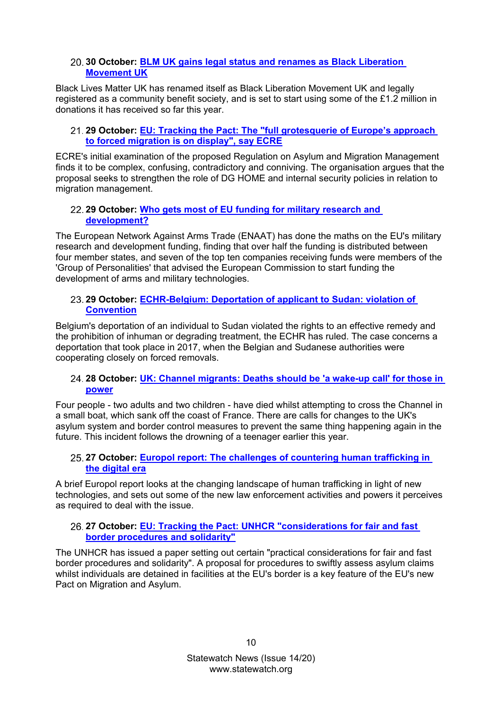# <span id="page-9-0"></span>**30 October: [BLM UK gains legal status and renames as Black Liberation](https://www.statewatch.org/news/2020/october/blm-uk-gains-legal-status-and-renames-as-black-liberation-movement-uk/) [Movement UK](https://www.statewatch.org/news/2020/october/blm-uk-gains-legal-status-and-renames-as-black-liberation-movement-uk/)**

Black Lives Matter UK has renamed itself as Black Liberation Movement UK and legally registered as a community benefit society, and is set to start using some of the £1.2 million in donations it has received so far this year.

# <span id="page-9-1"></span>**29 October: [EU: Tracking the Pact: The "full grotesquerie of Europe's approach](https://www.statewatch.org/news/2020/october/eu-tracking-the-pact-the-full-grotesquerie-of-europe-s-approach-to-forced-migration-is-on-display-say-ecre/)  [to forced migration is on](https://www.statewatch.org/news/2020/october/eu-tracking-the-pact-the-full-grotesquerie-of-europe-s-approach-to-forced-migration-is-on-display-say-ecre/) display", say ECRE**

ECRE's initial examination of the proposed Regulation on Asylum and Migration Management finds it to be complex, confusing, contradictory and conniving. The organisation argues that the proposal seeks to strengthen the role of DG HOME and internal security policies in relation to migration management.

# <span id="page-9-2"></span>**29 October: [Who gets most of EU funding for military research](https://www.statewatch.org/news/2020/october/who-gets-most-of-eu-funding-for-military-research-and-development/) and [development?](https://www.statewatch.org/news/2020/october/who-gets-most-of-eu-funding-for-military-research-and-development/)**

The European Network Against Arms Trade (ENAAT) has done the maths on the EU's military research and development funding, finding that over half the funding is distributed between four member states, and seven of the top ten companies receiving funds were members of the 'Group of Personalities' that advised the European Commission to start funding the development of arms and military technologies.

# <span id="page-9-3"></span>**29 October: [ECHR-Belgium: Deportation of applicant to Sudan: violation of](https://www.statewatch.org/news/2020/october/echr-belgium-deportation-of-applicant-to-sudan-violation-of-convention/)  [Convention](https://www.statewatch.org/news/2020/october/echr-belgium-deportation-of-applicant-to-sudan-violation-of-convention/)**

Belgium's deportation of an individual to Sudan violated the rights to an effective remedy and the prohibition of inhuman or degrading treatment, the ECHR has ruled. The case concerns a deportation that took place in 2017, when the Belgian and Sudanese authorities were cooperating closely on forced removals.

# <span id="page-9-4"></span>**28 October: [UK: Channel migrants: Deaths should be 'a wake-up call' for those in](https://www.statewatch.org/news/2020/october/uk-channel-migrants-deaths-should-be-a-wake-up-call-for-those-in-power/)  [power](https://www.statewatch.org/news/2020/october/uk-channel-migrants-deaths-should-be-a-wake-up-call-for-those-in-power/)**

Four people - two adults and two children - have died whilst attempting to cross the Channel in a small boat, which sank off the coast of France. There are calls for changes to the UK's asylum system and border control measures to prevent the same thing happening again in the future. This incident follows the drowning of a teenager earlier this year.

# <span id="page-9-5"></span>**27 October: [Europol report: The challenges of countering human trafficking in](https://www.statewatch.org/news/2020/october/europol-report-the-challenges-of-countering-human-trafficking-in-the-digital-era/)  [the digital era](https://www.statewatch.org/news/2020/october/europol-report-the-challenges-of-countering-human-trafficking-in-the-digital-era/)**

A brief Europol report looks at the changing landscape of human trafficking in light of new technologies, and sets out some of the new law enforcement activities and powers it perceives as required to deal with the issue.

# <span id="page-9-6"></span>**27 October: [EU: Tracking the Pact: UNHCR "considerations for fair and fast](https://www.statewatch.org/news/2020/october/eu-tracking-the-pact-unhcr-considerations-for-fair-and-fast-border-procedures-and-solidarity/)  [border procedures and solidarity"](https://www.statewatch.org/news/2020/october/eu-tracking-the-pact-unhcr-considerations-for-fair-and-fast-border-procedures-and-solidarity/)**

<span id="page-9-7"></span>The UNHCR has issued a paper setting out certain "practical considerations for fair and fast border procedures and solidarity". A proposal for procedures to swiftly assess asylum claims whilst individuals are detained in facilities at the EU's border is a key feature of the EU's new Pact on Migration and Asylum.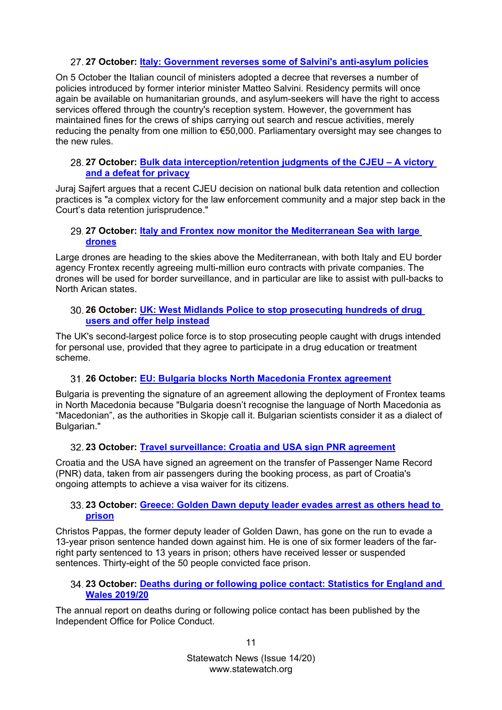# **27 October: [Italy: Government reverses some of Salvini's anti-asylum policies](https://www.statewatch.org/news/2020/october/italy-government-reverses-some-of-salvini-s-anti-asylum-policies/)**

On 5 October the Italian council of ministers adopted a decree that reverses a number of policies introduced by former interior minister Matteo Salvini. Residency permits will once again be available on humanitarian grounds, and asylum-seekers will have the right to access services offered through the country's reception system. However, the government has maintained fines for the crews of ships carrying out search and rescue activities, merely reducing the penalty from one million to €50,000. Parliamentary oversight may see changes to the new rules.

# <span id="page-10-0"></span>**27 October: [Bulk data interception/retention judgments of the CJEU –](https://www.statewatch.org/news/2020/october/bulk-data-interception-retention-judgments-of-the-cjeu-a-victory-and-a-defeat-for-privacy/) A victory [and a defeat for privacy](https://www.statewatch.org/news/2020/october/bulk-data-interception-retention-judgments-of-the-cjeu-a-victory-and-a-defeat-for-privacy/)**

Juraj Sajfert argues that a recent CJEU decision on national bulk data retention and collection practices is "a complex victory for the law enforcement community and a major step back in the Court's data retention jurisprudence."

# <span id="page-10-1"></span>**27 October: [Italy and Frontex now monitor the Mediterranean Sea with large](https://www.statewatch.org/news/2020/october/italy-and-frontex-now-monitor-the-mediterranean-sea-with-large-drones/)  [drones](https://www.statewatch.org/news/2020/october/italy-and-frontex-now-monitor-the-mediterranean-sea-with-large-drones/)**

Large drones are heading to the skies above the Mediterranean, with both Italy and EU border agency Frontex recently agreeing multi-million euro contracts with private companies. The drones will be used for border surveillance, and in particular are like to assist with pull-backs to North Arican states.

# <span id="page-10-2"></span>**26 October: [UK: West Midlands Police to stop prosecuting hundreds of drug](https://www.statewatch.org/news/2020/october/uk-west-midlands-police-to-stop-prosecuting-hundreds-of-drug-users-and-offer-help-instead/)  [users and offer help instead](https://www.statewatch.org/news/2020/october/uk-west-midlands-police-to-stop-prosecuting-hundreds-of-drug-users-and-offer-help-instead/)**

The UK's second-largest police force is to stop prosecuting people caught with drugs intended for personal use, provided that they agree to participate in a drug education or treatment scheme.

# <span id="page-10-3"></span>**26 October: [EU: Bulgaria blocks North Macedonia Frontex agreement](https://www.statewatch.org/news/2020/october/eu-bulgaria-blocks-north-macedonia-frontex-agreement/)**

Bulgaria is preventing the signature of an agreement allowing the deployment of Frontex teams in North Macedonia because "Bulgaria doesn't recognise the language of North Macedonia as "Macedonian", as the authorities in Skopje call it. Bulgarian scientists consider it as a dialect of Bulgarian."

# <span id="page-10-4"></span>**23 October: [Travel surveillance: Croatia and USA sign PNR agreement](https://www.statewatch.org/news/2020/october/travel-surveillance-croatia-and-usa-sign-pnr-agreement/)**

Croatia and the USA have signed an agreement on the transfer of Passenger Name Record (PNR) data, taken from air passengers during the booking process, as part of Croatia's ongoing attempts to achieve a visa waiver for its citizens.

# <span id="page-10-5"></span>**23 October: [Greece: Golden Dawn deputy leader evades arrest as others head to](https://www.statewatch.org/news/2020/october/greece-golden-dawn-deputy-leader-evades-arrest-as-others-head-to-prison/)  [prison](https://www.statewatch.org/news/2020/october/greece-golden-dawn-deputy-leader-evades-arrest-as-others-head-to-prison/)**

Christos Pappas, the former deputy leader of Golden Dawn, has gone on the run to evade a 13-year prison sentence handed down against him. He is one of six former leaders of the farright party sentenced to 13 years in prison; others have received lesser or suspended sentences. Thirty-eight of the 50 people convicted face prison.

### <span id="page-10-6"></span>**23 October: [Deaths during or following police contact: Statistics for England and](https://www.statewatch.org/news/2020/october/deaths-during-or-following-police-contact-statistics-for-england-and-wales-2019-20/)  [Wales 2019/20](https://www.statewatch.org/news/2020/october/deaths-during-or-following-police-contact-statistics-for-england-and-wales-2019-20/)**

The annual report on deaths during or following police contact has been published by the Independent Office for Police Conduct.

11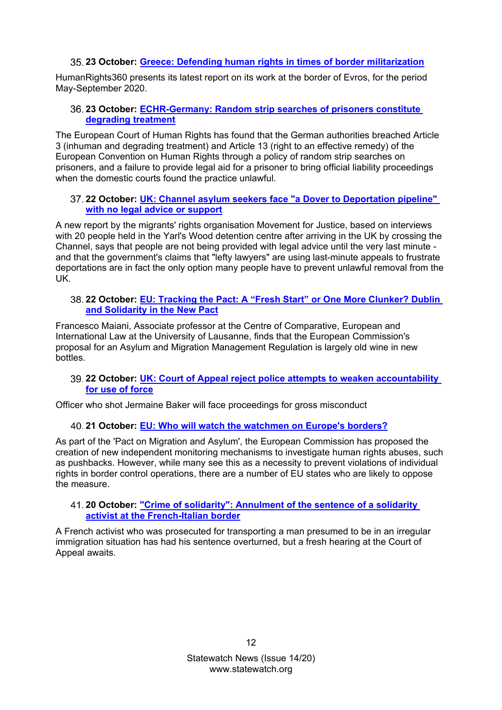# **23 October: [Greece: Defending human rights in times of border militarization](https://www.statewatch.org/news/2020/october/greece-defending-human-rights-in-times-of-border-militarization/)**

<span id="page-11-0"></span>HumanRights360 presents its latest report on its work at the border of Evros, for the period May-September 2020.

# <span id="page-11-1"></span>**23 October: [ECHR-Germany: Random strip searches of prisoners constitute](https://www.statewatch.org/news/2020/october/echr-germany-random-strip-searches-of-prisoners-constitute-degrading-treatment/)  [degrading treatment](https://www.statewatch.org/news/2020/october/echr-germany-random-strip-searches-of-prisoners-constitute-degrading-treatment/)**

The European Court of Human Rights has found that the German authorities breached Article 3 (inhuman and degrading treatment) and Article 13 (right to an effective remedy) of the European Convention on Human Rights through a policy of random strip searches on prisoners, and a failure to provide legal aid for a prisoner to bring official liability proceedings when the domestic courts found the practice unlawful.

# <span id="page-11-2"></span>**22 October: [UK: Channel asylum seekers face "a Dover to Deportation pipeline"](https://www.statewatch.org/news/2020/october/uk-channel-asylum-seekers-face-a-dover-to-deportation-pipeline-with-no-legal-advice-or-support/)  [with no legal advice or support](https://www.statewatch.org/news/2020/october/uk-channel-asylum-seekers-face-a-dover-to-deportation-pipeline-with-no-legal-advice-or-support/)**

A new report by the migrants' rights organisation Movement for Justice, based on interviews with 20 people held in the Yarl's Wood detention centre after arriving in the UK by crossing the Channel, says that people are not being provided with legal advice until the very last minute and that the government's claims that "lefty lawyers" are using last-minute appeals to frustrate deportations are in fact the only option many people have to prevent unlawful removal from the UK.

# <span id="page-11-3"></span>**22 October: [EU: Tracking the Pact: A "Fresh Start" or One More Clunker? Dublin](https://www.statewatch.org/news/2020/october/eu-tracking-the-pact-a-fresh-start-or-one-more-clunker-dublin-and-solidarity-in-the-new-pact/)  [and Solidarity in the New Pact](https://www.statewatch.org/news/2020/october/eu-tracking-the-pact-a-fresh-start-or-one-more-clunker-dublin-and-solidarity-in-the-new-pact/)**

Francesco Maiani, Associate professor at the Centre of Comparative, European and International Law at the University of Lausanne, finds that the European Commission's proposal for an Asylum and Migration Management Regulation is largely old wine in new bottles.

# <span id="page-11-4"></span>**22 October: [UK: Court of Appeal reject police attempts to weaken accountability](https://www.statewatch.org/news/2020/october/uk-court-of-appeal-reject-police-attempts-to-weaken-accountability-for-use-of-force/)  [for use of force](https://www.statewatch.org/news/2020/october/uk-court-of-appeal-reject-police-attempts-to-weaken-accountability-for-use-of-force/)**

<span id="page-11-5"></span>Officer who shot Jermaine Baker will face proceedings for gross misconduct

# **21 October: [EU: Who will watch the watchmen on Europe's borders?](https://www.statewatch.org/news/2020/october/eu-who-will-watch-the-watchmen-on-europe-s-borders/)**

As part of the 'Pact on Migration and Asylum', the European Commission has proposed the creation of new independent monitoring mechanisms to investigate human rights abuses, such as pushbacks. However, while many see this as a necessity to prevent violations of individual rights in border control operations, there are a number of EU states who are likely to oppose the measure.

# <span id="page-11-6"></span>**20 October: ["Crime of solidarity": Annulment of the sentence of a solidarity](https://www.statewatch.org/news/2020/october/crime-of-solidarity-annulment-of-the-sentence-of-a-solidarity-activist-at-the-french-italian-border/)  [activist at the French-Italian border](https://www.statewatch.org/news/2020/october/crime-of-solidarity-annulment-of-the-sentence-of-a-solidarity-activist-at-the-french-italian-border/)**

<span id="page-11-7"></span>A French activist who was prosecuted for transporting a man presumed to be in an irregular immigration situation has had his sentence overturned, but a fresh hearing at the Court of Appeal awaits.